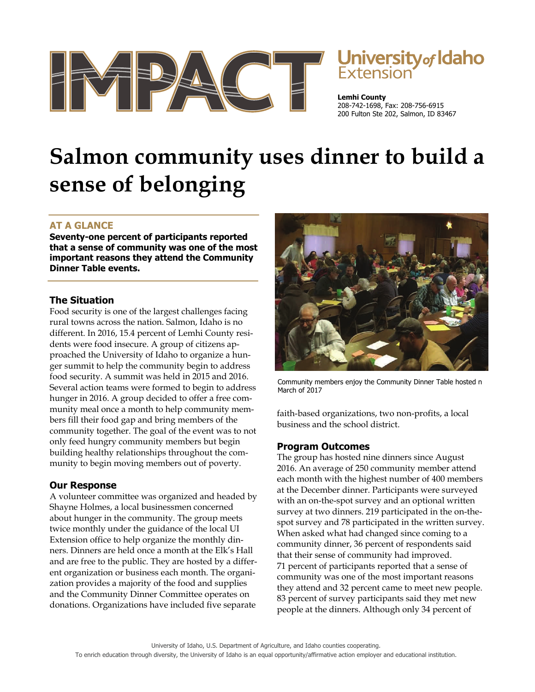

# **University of Idaho**<br>Extension

**Lemhi County**  208-742-1698, Fax: 208-756-6915 200 Fulton Ste 202, Salmon, ID 83467

# **Salmon community uses dinner to build a sense of belonging**

# **AT A GLANCE**

**Seventy-one percent of participants reported that a sense of community was one of the most important reasons they attend the Community Dinner Table events.** 

### **The Situation**

Food security is one of the largest challenges facing rural towns across the nation. Salmon, Idaho is no different. In 2016, 15.4 percent of Lemhi County residents were food insecure. A group of citizens approached the University of Idaho to organize a hunger summit to help the community begin to address food security. A summit was held in 2015 and 2016. Several action teams were formed to begin to address hunger in 2016. A group decided to offer a free community meal once a month to help community members fill their food gap and bring members of the community together. The goal of the event was to not only feed hungry community members but begin building healthy relationships throughout the community to begin moving members out of poverty.

# **Our Response**

A volunteer committee was organized and headed by Shayne Holmes, a local businessmen concerned about hunger in the community. The group meets twice monthly under the guidance of the local UI Extension office to help organize the monthly dinners. Dinners are held once a month at the Elk's Hall and are free to the public. They are hosted by a different organization or business each month. The organization provides a majority of the food and supplies and the Community Dinner Committee operates on donations. Organizations have included five separate



Community members enjoy the Community Dinner Table hosted n March of 2017

faith-based organizations, two non-profits, a local business and the school district.

#### **Program Outcomes**

The group has hosted nine dinners since August 2016. An average of 250 community member attend each month with the highest number of 400 members at the December dinner. Participants were surveyed with an on-the-spot survey and an optional written survey at two dinners. 219 participated in the on-thespot survey and 78 participated in the written survey. When asked what had changed since coming to a community dinner, 36 percent of respondents said that their sense of community had improved. 71 percent of participants reported that a sense of community was one of the most important reasons they attend and 32 percent came to meet new people. 83 percent of survey participants said they met new people at the dinners. Although only 34 percent of